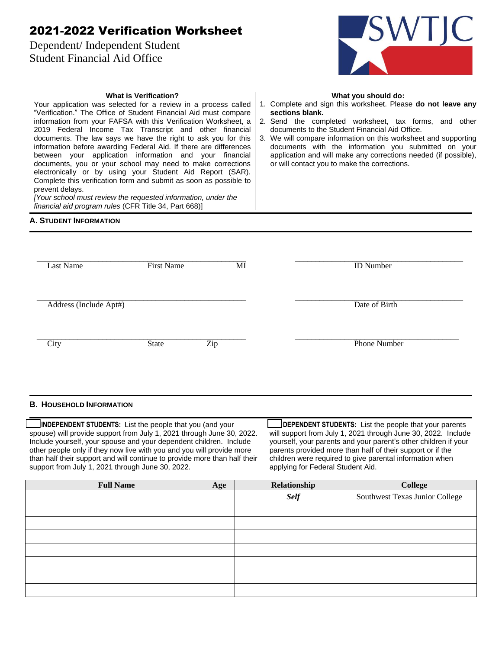# 2021-2022 Verification Worksheet

**What is Verification?** Your application was selected for a review in a process called "Verification." The Office of Student Financial Aid must compare information from your FAFSA with this Verification Worksheet, a 2019 Federal Income Tax Transcript and other financial documents. The law says we have the right to ask you for this information before awarding Federal Aid. If there are differences between your application information and your financial documents, you or your school may need to make corrections electronically or by using your Student Aid Report (SAR). Complete this verification form and submit as soon as possible to

*[Your school must review the requested information, under the* 

*financial aid program rules* (CFR Title 34, Part 668)]

Dependent/ Independent Student Student Financial Aid Office



#### **What you should do:**

- 1. Complete and sign this worksheet. Please **do not leave any sections blank.**
- 2. Send the completed worksheet, tax forms, and other documents to the Student Financial Aid Office.
- 3. We will compare information on this worksheet and supporting documents with the information you submitted on your application and will make any corrections needed (if possible), or will contact you to make the corrections.

### **A. STUDENT INFORMATION**

prevent delays.

| <b>Last Name</b>       | <b>First Name</b> | MI  | <b>ID</b> Number |
|------------------------|-------------------|-----|------------------|
| Address (Include Apt#) |                   |     | Date of Birth    |
| City                   | State             | Zip | Phone Number     |

#### **B. HOUSEHOLD INFORMATION**

 **INDEPENDENT STUDENTS:** List the people that you (and your spouse) will provide support from July 1, 2021 through June 30, 2022. Include yourself, your spouse and your dependent children. Include other people only if they now live with you and you will provide more than half their support and will continue to provide more than half their support from July 1, 2021 through June 30, 2022.

 **DEPENDENT STUDENTS:** List the people that your parents will support from July 1, 2021 through June 30, 2022. Include yourself, your parents and your parent's other children if your parents provided more than half of their support or if the children were required to give parental information when applying for Federal Student Aid.

| <b>Full Name</b> | Age | Relationship | College                        |
|------------------|-----|--------------|--------------------------------|
|                  |     | <b>Self</b>  | Southwest Texas Junior College |
|                  |     |              |                                |
|                  |     |              |                                |
|                  |     |              |                                |
|                  |     |              |                                |
|                  |     |              |                                |
|                  |     |              |                                |
|                  |     |              |                                |